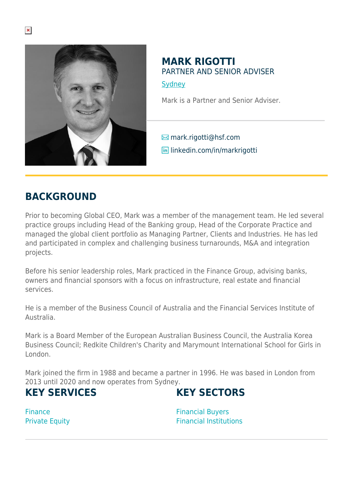

#### **MARK RIGOTTI** PARTNER AND SENIOR ADVISER **[Sydney](https://www.herbertsmithfreehills.com/lang-ko/where-we-work/sydney)**

Mark is a Partner and Senior Adviser.

 $\boxtimes$  mark.rigotti@hsf.com **in** linkedin.com/in/markrigotti

### **BACKGROUND**

Prior to becoming Global CEO, Mark was a member of the management team. He led several practice groups including Head of the Banking group, Head of the Corporate Practice and managed the global client portfolio as Managing Partner, Clients and Industries. He has led and participated in complex and challenging business turnarounds, M&A and integration projects.

Before his senior leadership roles, Mark practiced in the Finance Group, advising banks, owners and financial sponsors with a focus on infrastructure, real estate and financial services.

He is a member of the Business Council of Australia and the Financial Services Institute of Australia.

Mark is a Board Member of the European Australian Business Council, the Australia Korea Business Council; Redkite Children's Charity and Marymount International School for Girls in London.

Mark joined the firm in 1988 and became a partner in 1996. He was based in London from 2013 until 2020 and now operates from Sydney.

#### **KEY SERVICES**

# **KEY SECTORS**

Finance Private Equity Financial Buyers Financial Institutions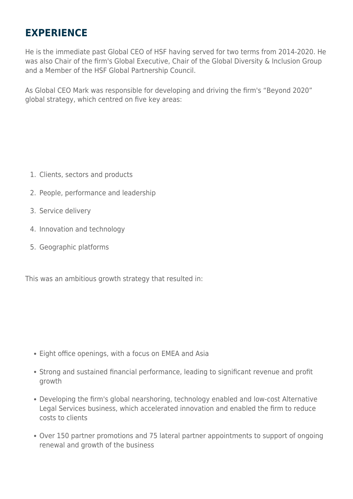# **EXPERIENCE**

He is the immediate past Global CEO of HSF having served for two terms from 2014-2020. He was also Chair of the firm's Global Executive, Chair of the Global Diversity & Inclusion Group and a Member of the HSF Global Partnership Council.

As Global CEO Mark was responsible for developing and driving the firm's "Beyond 2020" global strategy, which centred on five key areas:

- 1. Clients, sectors and products
- 2. People, performance and leadership
- 3. Service delivery
- 4. Innovation and technology
- 5. Geographic platforms

This was an ambitious growth strategy that resulted in:

- Eight office openings, with a focus on EMEA and Asia
- Strong and sustained financial performance, leading to significant revenue and profit growth
- Developing the firm's global nearshoring, technology enabled and low-cost Alternative Legal Services business, which accelerated innovation and enabled the firm to reduce costs to clients
- Over 150 partner promotions and 75 lateral partner appointments to support of ongoing renewal and growth of the business